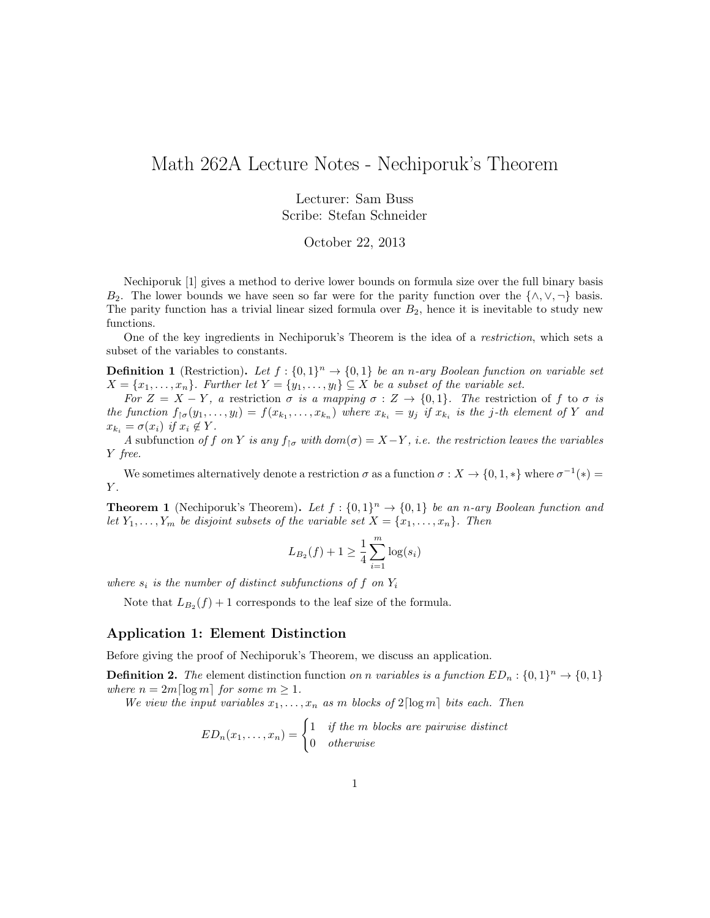## Math 262A Lecture Notes - Nechiporuk's Theorem

Lecturer: Sam Buss Scribe: Stefan Schneider

October 22, 2013

Nechiporuk [1] gives a method to derive lower bounds on formula size over the full binary basis B<sub>2</sub>. The lower bounds we have seen so far were for the parity function over the  $\{\wedge, \vee, \neg\}$  basis. The parity function has a trivial linear sized formula over  $B_2$ , hence it is inevitable to study new functions.

One of the key ingredients in Nechiporuk's Theorem is the idea of a restriction, which sets a subset of the variables to constants.

**Definition 1** (Restriction). Let  $f: \{0,1\}^n \to \{0,1\}$  be an n-ary Boolean function on variable set  $X = \{x_1, \ldots, x_n\}$ . Further let  $Y = \{y_1, \ldots, y_l\} \subseteq X$  be a subset of the variable set.

For  $Z = X - Y$ , a restriction  $\sigma$  is a mapping  $\sigma : Z \to \{0,1\}$ . The restriction of f to  $\sigma$  is the function  $f_{\uparrow \sigma}(y_1,\ldots,y_l)=f(x_{k_1},\ldots,x_{k_n})$  where  $x_{k_i}=y_j$  if  $x_{k_i}$  is the j-th element of Y and  $x_{k_i} = \sigma(x_i)$  if  $x_i \notin Y$ .

A subfunction of f on Y is any  $f_{\uparrow \sigma}$  with  $dom(\sigma) = X - Y$ , i.e. the restriction leaves the variables Y free.

We sometimes alternatively denote a restriction  $\sigma$  as a function  $\sigma: X \to \{0, 1, *\}$  where  $\sigma^{-1}(*)$  $Y$ .

**Theorem 1** (Nechiporuk's Theorem). Let  $f: \{0,1\}^n \rightarrow \{0,1\}$  be an n-ary Boolean function and let  $Y_1, \ldots, Y_m$  be disjoint subsets of the variable set  $X = \{x_1, \ldots, x_n\}$ . Then

$$
L_{B_2}(f) + 1 \ge \frac{1}{4} \sum_{i=1}^{m} \log(s_i)
$$

where  $s_i$  is the number of distinct subfunctions of f on  $Y_i$ 

Note that  $L_{B_2}(f) + 1$  corresponds to the leaf size of the formula.

### Application 1: Element Distinction

Before giving the proof of Nechiporuk's Theorem, we discuss an application.

**Definition 2.** The element distinction function on n variables is a function  $ED_n: \{0,1\}^n \to \{0,1\}$ where  $n = 2m \lfloor \log m \rfloor$  for some  $m \geq 1$ .

We view the input variables  $x_1, \ldots, x_n$  as m blocks of  $2 \lceil \log m \rceil$  bits each. Then

$$
ED_n(x_1, \ldots, x_n) = \begin{cases} 1 & if the \space m \space blocks \space are \space pairwise \space distinct \\ 0 & otherwise \end{cases}
$$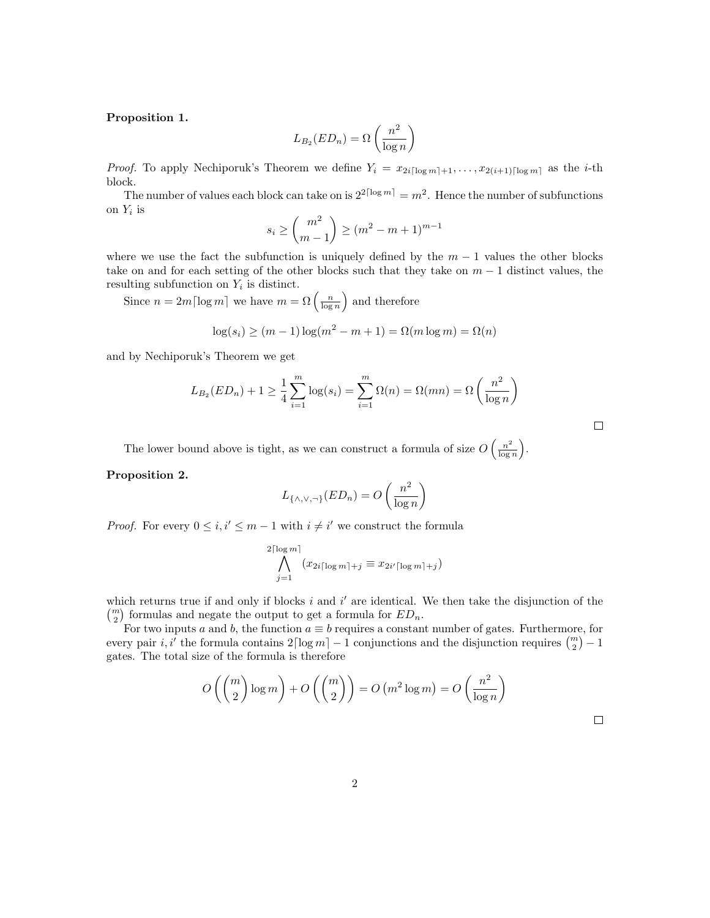#### Proposition 1.

$$
L_{B_2}(ED_n) = \Omega\left(\frac{n^2}{\log n}\right)
$$

*Proof.* To apply Nechiporuk's Theorem we define  $Y_i = x_{2i\lceil \log m \rceil + 1}, \ldots, x_{2(i+1)\lceil \log m \rceil}$  as the *i*-th block.

The number of values each block can take on is  $2^{2\lceil \log m \rceil} = m^2$ . Hence the number of subfunctions on  $Y_i$  is

$$
s_i \ge \binom{m^2}{m-1} \ge (m^2 - m + 1)^{m-1}
$$

where we use the fact the subfunction is uniquely defined by the  $m-1$  values the other blocks take on and for each setting of the other blocks such that they take on  $m-1$  distinct values, the resulting subfunction on  $Y_i$  is distinct.

Since  $n = 2m \lceil \log m \rceil$  we have  $m = \Omega \left( \frac{n}{\log n} \right)$  and therefore

$$
\log(s_i) \ge (m-1)\log(m^2 - m + 1) = \Omega(m\log m) = \Omega(n)
$$

and by Nechiporuk's Theorem we get

$$
L_{B_2}(ED_n) + 1 \ge \frac{1}{4} \sum_{i=1}^m \log(s_i) = \sum_{i=1}^m \Omega(n) = \Omega(mn) = \Omega\left(\frac{n^2}{\log n}\right)
$$

The lower bound above is tight, as we can construct a formula of size  $O\left(\frac{n^2}{\log n}\right)$  $\frac{n^2}{\log n}\bigg).$ 

#### Proposition 2.

$$
L_{\{\wedge,\vee,\neg\}}(ED_n) = O\left(\frac{n^2}{\log n}\right)
$$

*Proof.* For every  $0 \leq i, i' \leq m-1$  with  $i \neq i'$  we construct the formula

$$
\bigwedge_{j=1}^{2\lceil \log m \rceil} (x_{2i\lceil \log m \rceil + j} \equiv x_{2i'\lceil \log m \rceil + j})
$$

which returns true if and only if blocks  $i$  and  $i'$  are identical. We then take the disjunction of the  $\binom{m}{2}$  formulas and negate the output to get a formula for  $ED_n$ .

For two inputs a and b, the function  $a \equiv b$  requires a constant number of gates. Furthermore, for every pair i, i' the formula contains  $2\lceil \log m \rceil - 1$  conjunctions and the disjunction requires  $\binom{m}{2} - 1$ gates. The total size of the formula is therefore

$$
O\left(\binom{m}{2}\log m\right) + O\left(\binom{m}{2}\right) = O\left(m^2\log m\right) = O\left(\frac{n^2}{\log n}\right)
$$

 $\Box$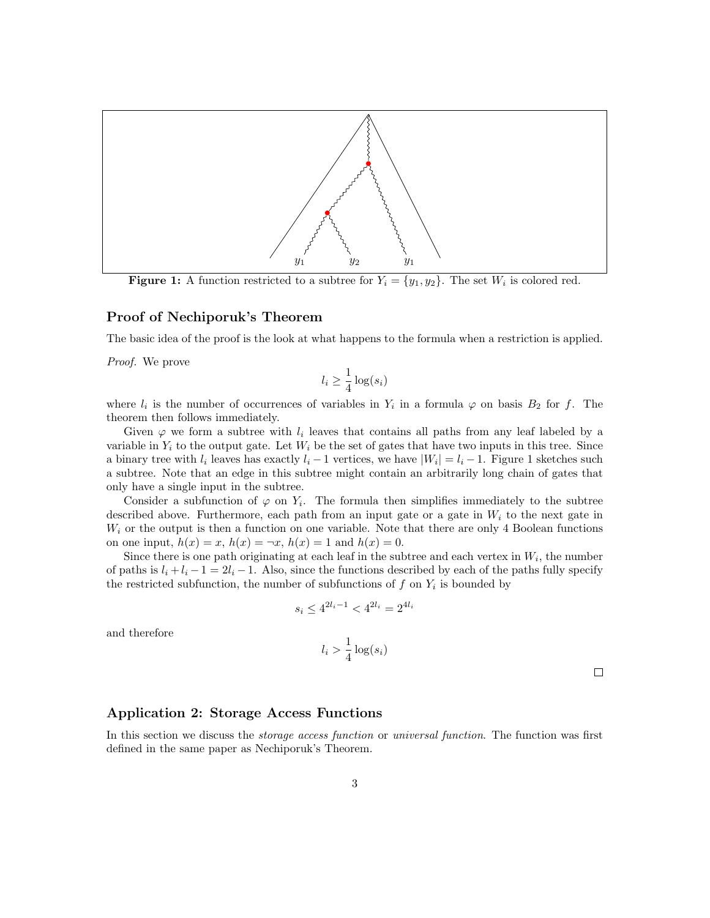

**Figure 1:** A function restricted to a subtree for  $Y_i = \{y_1, y_2\}$ . The set  $W_i$  is colored red.

#### Proof of Nechiporuk's Theorem

The basic idea of the proof is the look at what happens to the formula when a restriction is applied.

Proof. We prove

$$
l_i \ge \frac{1}{4} \log(s_i)
$$

where  $l_i$  is the number of occurrences of variables in  $Y_i$  in a formula  $\varphi$  on basis  $B_2$  for f. The theorem then follows immediately.

Given  $\varphi$  we form a subtree with  $l_i$  leaves that contains all paths from any leaf labeled by a variable in  $Y_i$  to the output gate. Let  $W_i$  be the set of gates that have two inputs in this tree. Since a binary tree with  $l_i$  leaves has exactly  $l_i - 1$  vertices, we have  $|W_i| = l_i - 1$ . Figure 1 sketches such a subtree. Note that an edge in this subtree might contain an arbitrarily long chain of gates that only have a single input in the subtree.

Consider a subfunction of  $\varphi$  on  $Y_i$ . The formula then simplifies immediately to the subtree described above. Furthermore, each path from an input gate or a gate in  $W_i$  to the next gate in  $W_i$  or the output is then a function on one variable. Note that there are only 4 Boolean functions on one input,  $h(x) = x$ ,  $h(x) = \neg x$ ,  $h(x) = 1$  and  $h(x) = 0$ .

Since there is one path originating at each leaf in the subtree and each vertex in  $W_i$ , the number of paths is  $l_i + l_i - 1 = 2l_i - 1$ . Also, since the functions described by each of the paths fully specify the restricted subfunction, the number of subfunctions of  $f$  on  $Y_i$  is bounded by

$$
s_i \leq 4^{2l_i-1} < 4^{2l_i} = 2^{4l_i}
$$

and therefore

$$
l_i > \frac{1}{4}\log(s_i)
$$

 $\Box$ 

#### Application 2: Storage Access Functions

In this section we discuss the *storage access function* or *universal function*. The function was first defined in the same paper as Nechiporuk's Theorem.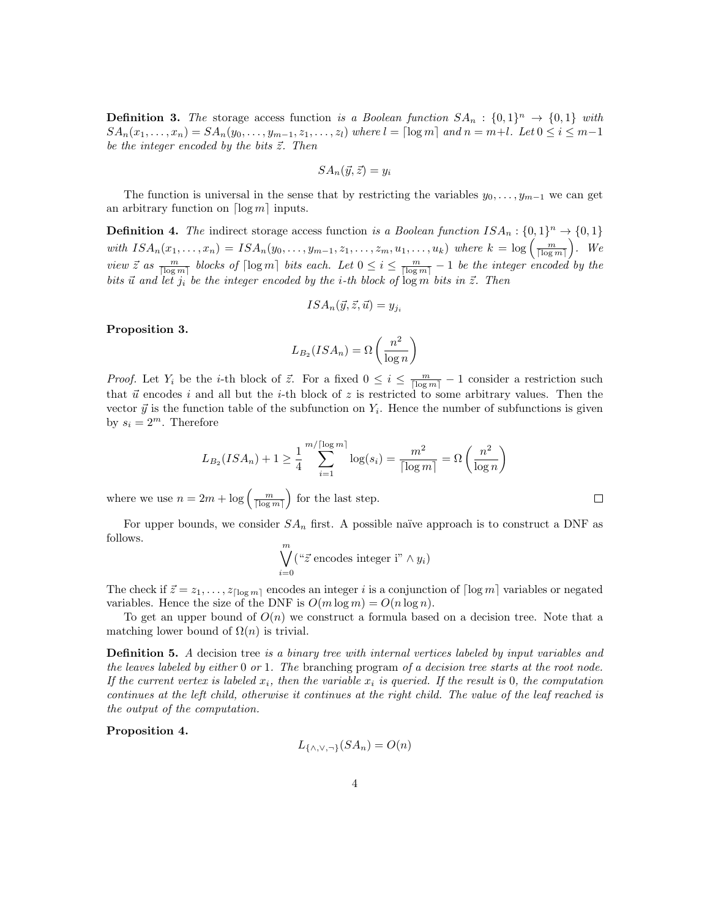**Definition 3.** The storage access function is a Boolean function  $SA_n: \{0,1\}^n \rightarrow \{0,1\}$  with  $SA_n(x_1,\ldots,x_n) = SA_n(y_0,\ldots,y_{m-1},z_1,\ldots,z_l)$  where  $l = \lceil \log m \rceil$  and  $n = m+l$ . Let  $0 \le i \le m-1$ be the integer encoded by the bits  $\vec{z}$ . Then

$$
SA_n(\vec{y}, \vec{z}) = y_i
$$

The function is universal in the sense that by restricting the variables  $y_0, \ldots, y_{m-1}$  we can get an arbitrary function on  $\lceil \log m \rceil$  inputs.

**Definition 4.** The indirect storage access function is a Boolean function  $ISA_n: \{0,1\}^n \rightarrow \{0,1\}$ with  $ISA_n(x_1,...,x_n) = ISA_n(y_0,...,y_{m-1},z_1,...,z_m,u_1,...,u_k)$  where  $k = \log\left(\frac{m}{\lceil \log m \rceil}\right)$ . We view  $\vec{z}$  as  $\frac{m}{\lceil \log m \rceil}$  blocks of  $\lceil \log m \rceil$  bits each. Let  $0 \leq i \leq \frac{m}{\lceil \log m \rceil} - 1$  be the integer encoded by the bits  $\vec{u}$  and let  $j_i$  be the integer encoded by the i-th block of  $\log m$  bits in  $\vec{z}$ . Then

$$
ISA_n(\vec{y}, \vec{z}, \vec{u}) = y_{ji}
$$

Proposition 3.

$$
L_{B_2}(ISA_n) = \Omega\left(\frac{n^2}{\log n}\right)
$$

*Proof.* Let  $Y_i$  be the *i*-th block of  $\vec{z}$ . For a fixed  $0 \leq i \leq \frac{m}{\lceil \log m \rceil} - 1$  consider a restriction such that  $\vec{u}$  encodes i and all but the i-th block of z is restricted to some arbitrary values. Then the vector  $\vec{y}$  is the function table of the subfunction on  $Y_i$ . Hence the number of subfunctions is given by  $s_i = 2^m$ . Therefore

$$
L_{B_2}(ISA_n) + 1 \ge \frac{1}{4} \sum_{i=1}^{m/\lceil \log m \rceil} \log(s_i) = \frac{m^2}{\lceil \log m \rceil} = \Omega\left(\frac{n^2}{\log n}\right)
$$

where we use  $n = 2m + \log\left(\frac{m}{\lceil \log m \rceil}\right)$  for the last step.

For upper bounds, we consider  $SA_n$  first. A possible naïve approach is to construct a DNF as follows.

$$
\bigvee_{i=0}^{m} (\text{``}\vec{z} \text{ encodes integer i''} \land y_i)
$$

The check if  $\vec{z} = z_1, \ldots, z_{\lceil \log m \rceil}$  encodes an integer i is a conjunction of  $\lceil \log m \rceil$  variables or negated variables. Hence the size of the DNF is  $O(m \log m) = O(n \log n)$ .

To get an upper bound of  $O(n)$  we construct a formula based on a decision tree. Note that a matching lower bound of  $\Omega(n)$  is trivial.

**Definition 5.** A decision tree is a binary tree with internal vertices labeled by input variables and the leaves labeled by either  $0$  or  $1$ . The branching program of a decision tree starts at the root node. If the current vertex is labeled  $x_i$ , then the variable  $x_i$  is queried. If the result is 0, the computation continues at the left child, otherwise it continues at the right child. The value of the leaf reached is the output of the computation.

Proposition 4.

$$
L_{\{\wedge,\vee,\neg\}}(SA_n) = O(n)
$$

 $\Box$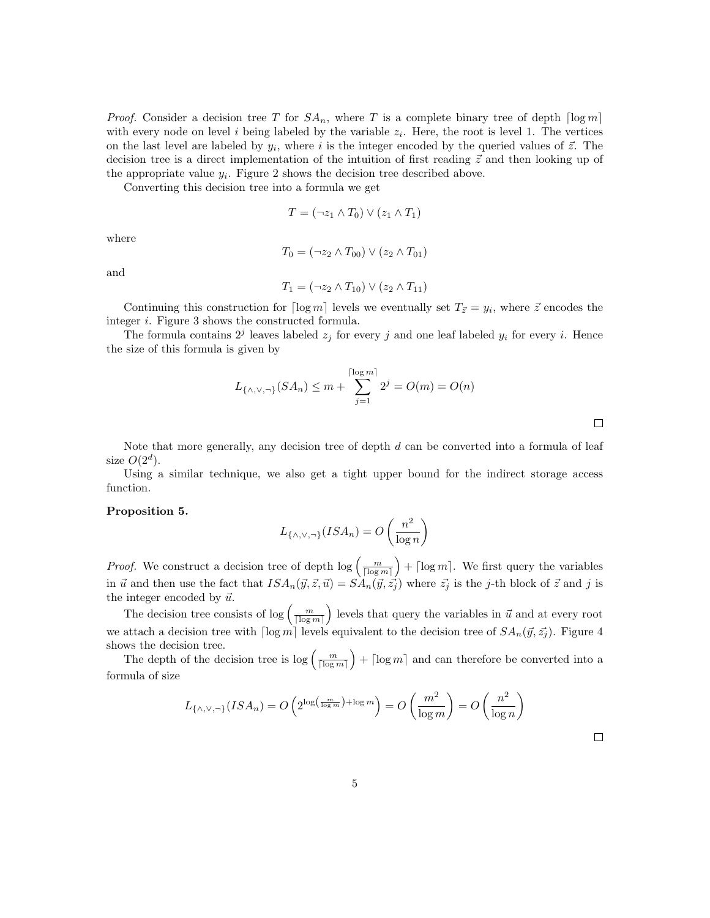*Proof.* Consider a decision tree T for  $SA_n$ , where T is a complete binary tree of depth  $\lceil \log m \rceil$ with every node on level i being labeled by the variable  $z_i$ . Here, the root is level 1. The vertices on the last level are labeled by  $y_i$ , where i is the integer encoded by the queried values of  $\vec{z}$ . The decision tree is a direct implementation of the intuition of first reading  $\vec{z}$  and then looking up of the appropriate value  $y_i$ . Figure 2 shows the decision tree described above.

Converting this decision tree into a formula we get

$$
T = (\neg z_1 \land T_0) \lor (z_1 \land T_1)
$$

where

$$
T_0 = (\neg z_2 \wedge T_{00}) \vee (z_2 \wedge T_{01})
$$

and

$$
T_1 = (\neg z_2 \land T_{10}) \lor (z_2 \land T_{11})
$$

Continuing this construction for  $\lceil \log m \rceil$  levels we eventually set  $T_{\vec{z}} = y_i$ , where  $\vec{z}$  encodes the integer i. Figure 3 shows the constructed formula.

The formula contains  $2^j$  leaves labeled  $z_j$  for every j and one leaf labeled  $y_i$  for every i. Hence the size of this formula is given by

$$
L_{\{\wedge,\vee,\neg\}}(SA_n) \le m + \sum_{j=1}^{\lceil \log m \rceil} 2^j = O(m) = O(n)
$$

Note that more generally, any decision tree of depth d can be converted into a formula of leaf size  $O(2^d)$ .

Using a similar technique, we also get a tight upper bound for the indirect storage access function.

#### Proposition 5.

$$
L_{\{\wedge,\vee,\neg\}}(ISA_n) = O\left(\frac{n^2}{\log n}\right)
$$

*Proof.* We construct a decision tree of depth  $\log\left(\frac{m}{\lceil \log m \rceil}\right) + \lceil \log m \rceil$ . We first query the variables in  $\vec{u}$  and then use the fact that  $ISA_n(\vec{y}, \vec{z}, \vec{u}) = SA_n(\vec{y}, \vec{z}_j)$  where  $\vec{z}_j$  is the j-th block of  $\vec{z}$  and j is the integer encoded by  $\vec{u}$ .

The decision tree consists of  $\log\left(\frac{m}{\lceil \log m \rceil}\right)$  levels that query the variables in  $\vec{u}$  and at every root we attach a decision tree with  $\lceil \log m \rceil$  levels equivalent to the decision tree of  $SA_n(\vec{y}, \vec{z}_i)$ . Figure 4 shows the decision tree.

The depth of the decision tree is  $\log\left(\frac{m}{\lceil \log m \rceil}\right) + \lceil \log m \rceil$  and can therefore be converted into a formula of size

$$
L_{\{\wedge,\vee,\neg\}}(ISA_n) = O\left(2^{\log\left(\frac{m}{\log m}\right) + \log m}\right) = O\left(\frac{m^2}{\log m}\right) = O\left(\frac{n^2}{\log n}\right)
$$

 $\Box$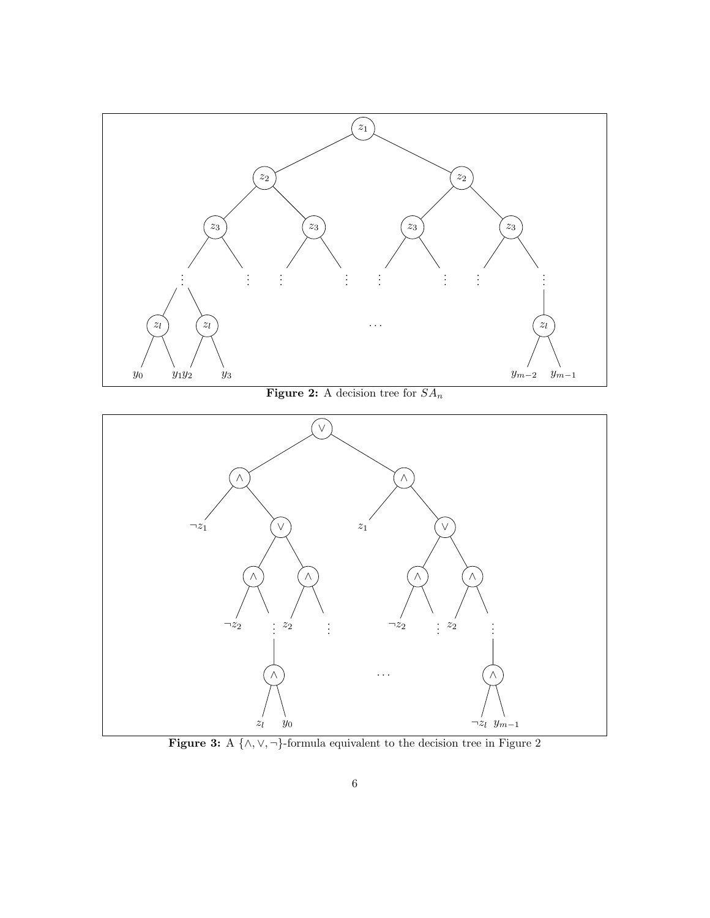

Figure 3: A {∧,∨, ¬}-formula equivalent to the decision tree in Figure 2